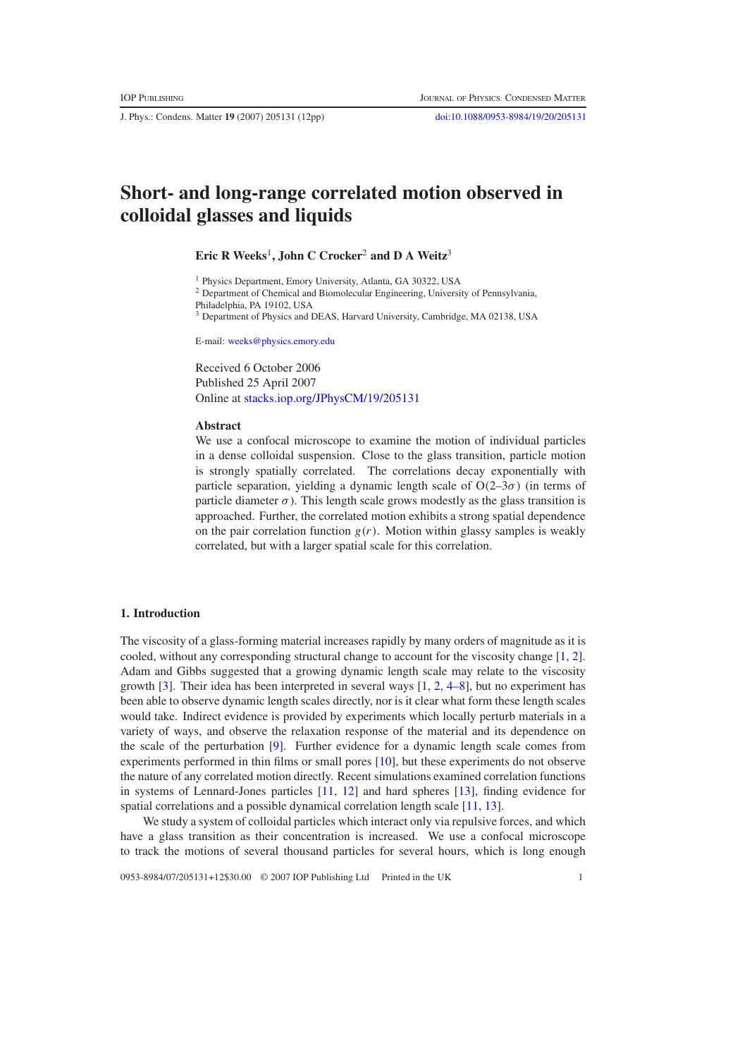J. Phys.: Condens. Matter **19** (2007) 205131 (12pp) [doi:10.1088/0953-8984/19/20/205131](http://dx.doi.org/10.1088/0953-8984/19/20/205131)

# **Short- and long-range correlated motion observed in colloidal glasses and liquids**

## **Eric R Weeks**<sup>1</sup>**, John C Crocker**<sup>2</sup> **and D A Weitz**<sup>3</sup>

<sup>1</sup> Physics Department, Emory University, Atlanta, GA 30322, USA

<sup>2</sup> Department of Chemical and Biomolecular Engineering, University of Pennsylvania,

Philadelphia, PA 19102, USA

<sup>3</sup> Department of Physics and DEAS, Harvard University, Cambridge, MA 02138, USA

E-mail: [weeks@physics.emory.edu](mailto:weeks@physics.emory.edu)

Received 6 October 2006 Published 25 April 2007 Online at [stacks.iop.org/JPhysCM/19/205131](http://stacks.iop.org/JPhysCM/19/205131)

#### **Abstract**

We use a confocal microscope to examine the motion of individual particles in a dense colloidal suspension. Close to the glass transition, particle motion is strongly spatially correlated. The correlations decay exponentially with particle separation, yielding a dynamic length scale of  $O(2-3\sigma)$  (in terms of particle diameter  $\sigma$ ). This length scale grows modestly as the glass transition is approached. Further, the correlated motion exhibits a strong spatial dependence on the pair correlation function  $g(r)$ . Motion within glassy samples is weakly correlated, but with a larger spatial scale for this correlation.

## **1. Introduction**

The viscosity of a glass-forming material increases rapidly by many orders of magnitude as it is cooled, without any corresponding structural change to account for the viscosity change [\[1,](#page-10-0) [2\]](#page-10-1). Adam and Gibbs suggested that a growing dynamic length scale may relate to the viscosity growth [\[3\]](#page-10-2). Their idea has been interpreted in several ways [\[1,](#page-10-0) [2,](#page-10-1) [4–8\]](#page-10-3), but no experiment has been able to observe dynamic length scales directly, nor is it clear what form these length scales would take. Indirect evidence is provided by experiments which locally perturb materials in a variety of ways, and observe the relaxation response of the material and its dependence on the scale of the perturbation [\[9\]](#page-10-4). Further evidence for a dynamic length scale comes from experiments performed in thin films or small pores [\[10\]](#page-10-5), but these experiments do not observe the nature of any correlated motion directly. Recent simulations examined correlation functions in systems of Lennard-Jones particles [\[11,](#page-10-6) [12\]](#page-10-7) and hard spheres [\[13\]](#page-10-8), finding evidence for spatial correlations and a possible dynamical correlation length scale [\[11,](#page-10-6) [13\]](#page-10-8).

We study a system of colloidal particles which interact only via repulsive forces, and which have a glass transition as their concentration is increased. We use a confocal microscope to track the motions of several thousand particles for several hours, which is long enough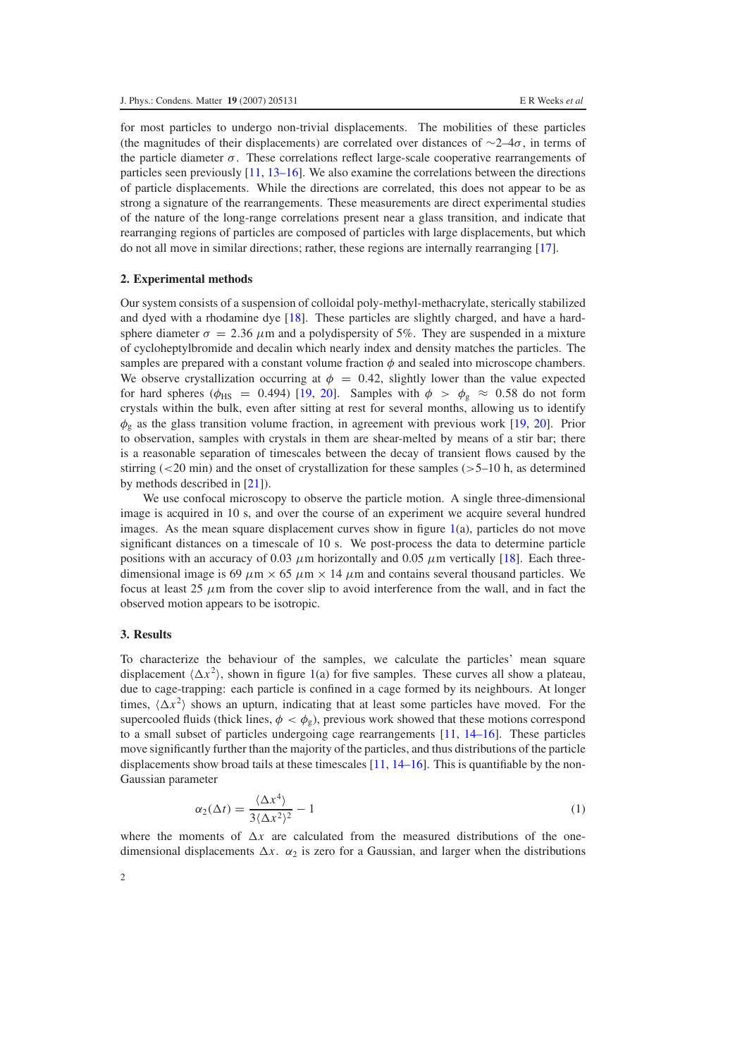for most particles to undergo non-trivial displacements. The mobilities of these particles (the magnitudes of their displacements) are correlated over distances of  $\sim$ 2–4 $\sigma$ , in terms of the particle diameter  $\sigma$ . These correlations reflect large-scale cooperative rearrangements of particles seen previously  $[11, 13-16]$  $[11, 13-16]$ . We also examine the correlations between the directions of particle displacements. While the directions are correlated, this does not appear to be as strong a signature of the rearrangements. These measurements are direct experimental studies of the nature of the long-range correlations present near a glass transition, and indicate that rearranging regions of particles are composed of particles with large displacements, but which do not all move in similar directions; rather, these regions are internally rearranging [\[17\]](#page-11-0).

## **2. Experimental methods**

Our system consists of a suspension of colloidal poly-methyl-methacrylate, sterically stabilized and dyed with a rhodamine dye [\[18\]](#page-11-1). These particles are slightly charged, and have a hardsphere diameter  $\sigma = 2.36 \mu m$  and a polydispersity of 5%. They are suspended in a mixture of cycloheptylbromide and decalin which nearly index and density matches the particles. The samples are prepared with a constant volume fraction  $\phi$  and sealed into microscope chambers. We observe crystallization occurring at  $\phi = 0.42$ , slightly lower than the value expected for hard spheres ( $\phi_{\text{HS}}$  = 0.494) [\[19,](#page-11-2) [20\]](#page-11-3). Samples with  $\phi > \phi_{\text{g}} \approx 0.58$  do not form crystals within the bulk, even after sitting at rest for several months, allowing us to identify  $\phi_{g}$  as the glass transition volume fraction, in agreement with previous work [\[19,](#page-11-2) [20\]](#page-11-3). Prior to observation, samples with crystals in them are shear-melted by means of a stir bar; there is a reasonable separation of timescales between the decay of transient flows caused by the stirring  $\approx$  20 min) and the onset of crystallization for these samples (>5–10 h, as determined by methods described in [\[21\]](#page-11-4)).

We use confocal microscopy to observe the particle motion. A single three-dimensional image is acquired in 10 s, and over the course of an experiment we acquire several hundred images. As the mean square displacement curves show in figure  $1(a)$  $1(a)$ , particles do not move significant distances on a timescale of 10 s. We post-process the data to determine particle positions with an accuracy of 0.03  $\mu$ m horizontally and 0.05  $\mu$ m vertically [\[18\]](#page-11-1). Each threedimensional image is 69  $\mu$ m  $\times$  65  $\mu$ m  $\times$  14  $\mu$ m and contains several thousand particles. We focus at least 25  $\mu$ m from the cover slip to avoid interference from the wall, and in fact the observed motion appears to be isotropic.

## **3. Results**

To characterize the behaviour of the samples, we calculate the particles' mean square displacement  $\langle \Delta x^2 \rangle$ , shown in figure [1\(](#page-2-0)a) for five samples. These curves all show a plateau, due to cage-trapping: each particle is confined in a cage formed by its neighbours. At longer times,  $\langle \Delta x^2 \rangle$  shows an upturn, indicating that at least some particles have moved. For the supercooled fluids (thick lines,  $\phi < \phi_g$ ), previous work showed that these motions correspond to a small subset of particles undergoing cage rearrangements [\[11,](#page-10-6) [14–16\]](#page-10-9). These particles move significantly further than the majority of the particles, and thus distributions of the particle displacements show broad tails at these timescales  $[11, 14–16]$  $[11, 14–16]$  $[11, 14–16]$ . This is quantifiable by the non-Gaussian parameter

$$
\alpha_2(\Delta t) = \frac{\langle \Delta x^4 \rangle}{3 \langle \Delta x^2 \rangle^2} - 1 \tag{1}
$$

where the moments of  $\Delta x$  are calculated from the measured distributions of the onedimensional displacements  $\Delta x$ .  $\alpha_2$  is zero for a Gaussian, and larger when the distributions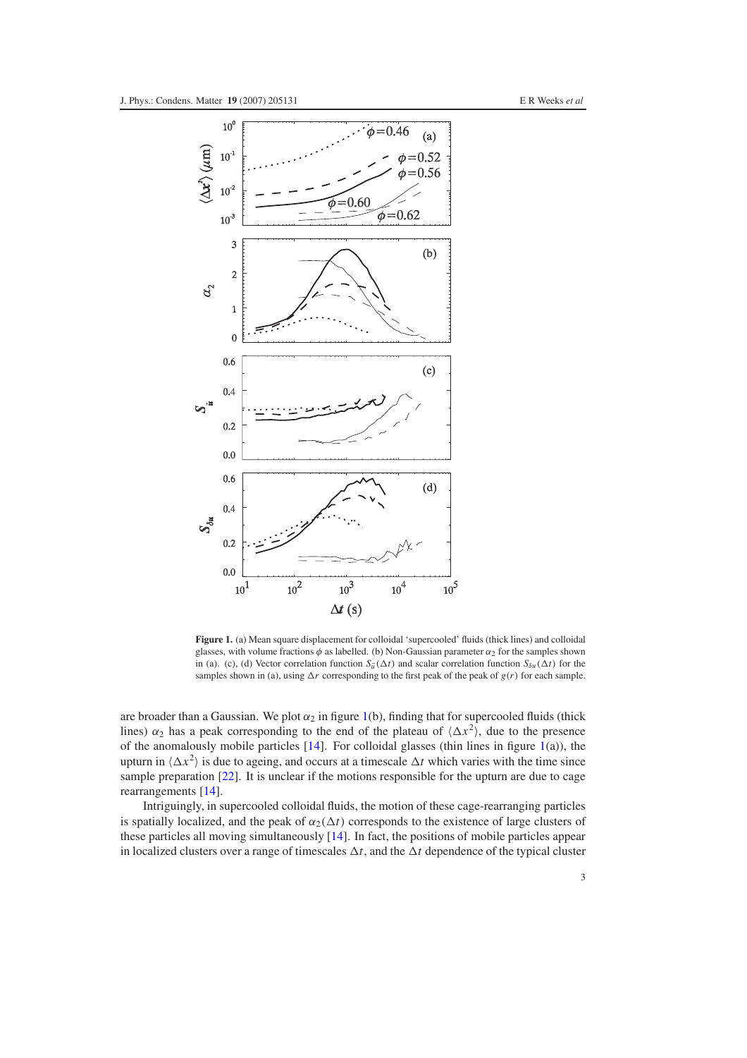<span id="page-2-0"></span>

**Figure 1.** (a) Mean square displacement for colloidal 'supercooled' fluids (thick lines) and colloidal glasses, with volume fractions  $\phi$  as labelled. (b) Non-Gaussian parameter  $\alpha_2$  for the samples shown in (a). (c), (d) Vector correlation function  $S_{\vec{u}}(\Delta t)$  and scalar correlation function  $S_{\delta u}(\Delta t)$  for the samples shown in (a), using  $\Delta r$  corresponding to the first peak of the peak of  $g(r)$  for each sample.

are broader than a Gaussian. We plot  $\alpha_2$  in figure [1\(](#page-2-0)b), finding that for supercooled fluids (thick lines)  $\alpha_2$  has a peak corresponding to the end of the plateau of  $\langle \Delta x^2 \rangle$ , due to the presence of the anomalously mobile particles  $[14]$ . For colloidal glasses (thin lines in figure  $1(a)$  $1(a)$ ), the upturn in  $\langle \Delta x^2 \rangle$  is due to ageing, and occurs at a timescale  $\Delta t$  which varies with the time since sample preparation [\[22\]](#page-11-5). It is unclear if the motions responsible for the upturn are due to cage rearrangements [\[14\]](#page-10-9).

Intriguingly, in supercooled colloidal fluids, the motion of these cage-rearranging particles is spatially localized, and the peak of  $\alpha_2(\Delta t)$  corresponds to the existence of large clusters of these particles all moving simultaneously [\[14\]](#page-10-9). In fact, the positions of mobile particles appear in localized clusters over a range of timescales  $\Delta t$ , and the  $\Delta t$  dependence of the typical cluster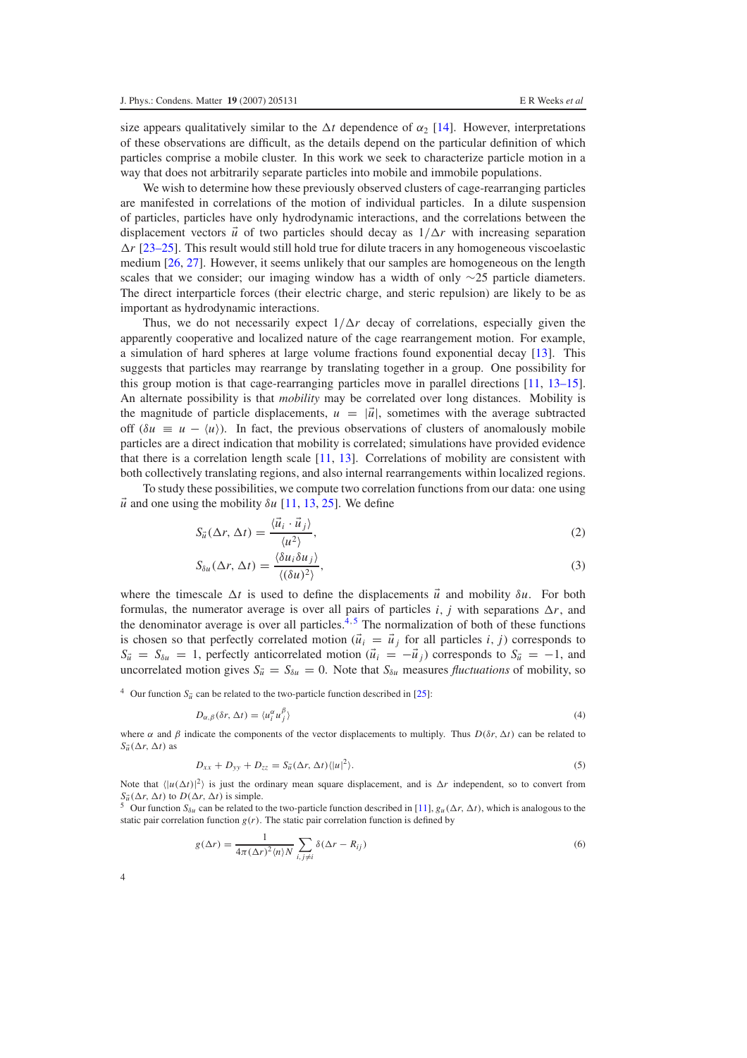size appears qualitatively similar to the  $\Delta t$  dependence of  $\alpha_2$  [\[14\]](#page-10-9). However, interpretations of these observations are difficult, as the details depend on the particular definition of which particles comprise a mobile cluster. In this work we seek to characterize particle motion in a way that does not arbitrarily separate particles into mobile and immobile populations.

We wish to determine how these previously observed clusters of cage-rearranging particles are manifested in correlations of the motion of individual particles. In a dilute suspension of particles, particles have only hydrodynamic interactions, and the correlations between the displacement vectors  $\vec{u}$  of two particles should decay as  $1/\Delta r$  with increasing separation  $\Delta r$  [\[23–25\]](#page-11-6). This result would still hold true for dilute tracers in any homogeneous viscoelastic medium [\[26,](#page-11-7) [27\]](#page-11-8). However, it seems unlikely that our samples are homogeneous on the length scales that we consider; our imaging window has a width of only  $\sim$ 25 particle diameters. The direct interparticle forces (their electric charge, and steric repulsion) are likely to be as important as hydrodynamic interactions.

Thus, we do not necessarily expect  $1/\Delta r$  decay of correlations, especially given the apparently cooperative and localized nature of the cage rearrangement motion. For example, a simulation of hard spheres at large volume fractions found exponential decay [\[13\]](#page-10-8). This suggests that particles may rearrange by translating together in a group. One possibility for this group motion is that cage-rearranging particles move in parallel directions [\[11,](#page-10-6) [13–15\]](#page-10-8). An alternate possibility is that *mobility* may be correlated over long distances. Mobility is the magnitude of particle displacements,  $u = |\vec{u}|$ , sometimes with the average subtracted off  $(\delta u \equiv u - \langle u \rangle)$ . In fact, the previous observations of clusters of anomalously mobile particles are a direct indication that mobility is correlated; simulations have provided evidence that there is a correlation length scale [\[11,](#page-10-6) [13\]](#page-10-8). Correlations of mobility are consistent with both collectively translating regions, and also internal rearrangements within localized regions.

To study these possibilities, we compute two correlation functions from our data: one using  $\vec{u}$  and one using the mobility  $\delta u$  [\[11,](#page-10-6) [13,](#page-10-8) [25\]](#page-11-9). We define

$$
S_{\vec{u}}(\Delta r, \Delta t) = \frac{\langle \vec{u}_i \cdot \vec{u}_j \rangle}{\langle u^2 \rangle},
$$
\n(2)

$$
S_{\delta u}(\Delta r, \Delta t) = \frac{\langle \delta u_i \delta u_j \rangle}{\langle (\delta u)^2 \rangle},\tag{3}
$$

<span id="page-3-0"></span>where the timescale  $\Delta t$  is used to define the displacements  $\vec{u}$  and mobility  $\delta u$ . For both formulas, the numerator average is over all pairs of particles *i*, *j* with separations  $\Delta r$ , and the denominator average is over all particles. $^{4,5}$  $^{4,5}$  $^{4,5}$  The normalization of both of these functions is chosen so that perfectly correlated motion ( $\vec{u}_i = \vec{u}_j$  for all particles *i*, *j*) corresponds to  $S_{\vec{u}} = S_{\delta u} = 1$ , perfectly anticorrelated motion  $(\vec{u}_i = -\vec{u}_i)$  corresponds to  $S_{\vec{u}} = -1$ , and uncorrelated motion gives  $S_{\vec{u}} = S_{\delta u} = 0$ . Note that  $S_{\delta u}$  measures *fluctuations* of mobility, so

<sup>4</sup> Our function  $S_{\vec{u}}$  can be related to the two-particle function described in [\[25\]](#page-11-9):

$$
D_{\alpha,\beta}(\delta r,\Delta t) = \langle u_i^{\alpha} u_j^{\beta} \rangle \tag{4}
$$

<span id="page-3-1"></span>where  $\alpha$  and  $\beta$  indicate the components of the vector displacements to multiply. Thus  $D(\delta r, \Delta t)$  can be related to  $S_{\vec{u}}(\Delta r, \Delta t)$  as

$$
D_{xx} + D_{yy} + D_{zz} = S_{\vec{u}}(\Delta r, \Delta t) \langle |u|^2 \rangle.
$$
 (5)

Note that  $\langle |u(\Delta t)|^2 \rangle$  is just the ordinary mean square displacement, and is  $\Delta r$  independent, so to convert from  $S_{\vec{u}}(\Delta r, \Delta t)$  to  $D(\Delta r, \Delta t)$  is simple.<br><sup>5</sup> Our function  $S_{\delta u}$  can be related to the two-particle function described in [\[11\]](#page-10-6),  $g_u(\Delta r, \Delta t)$ , which is analogous to the

static pair correlation function  $g(r)$ . The static pair correlation function is defined by

$$
g(\Delta r) = \frac{1}{4\pi (\Delta r)^2 \langle n \rangle N} \sum_{i,j \neq i} \delta(\Delta r - R_{ij})
$$
\n(6)

4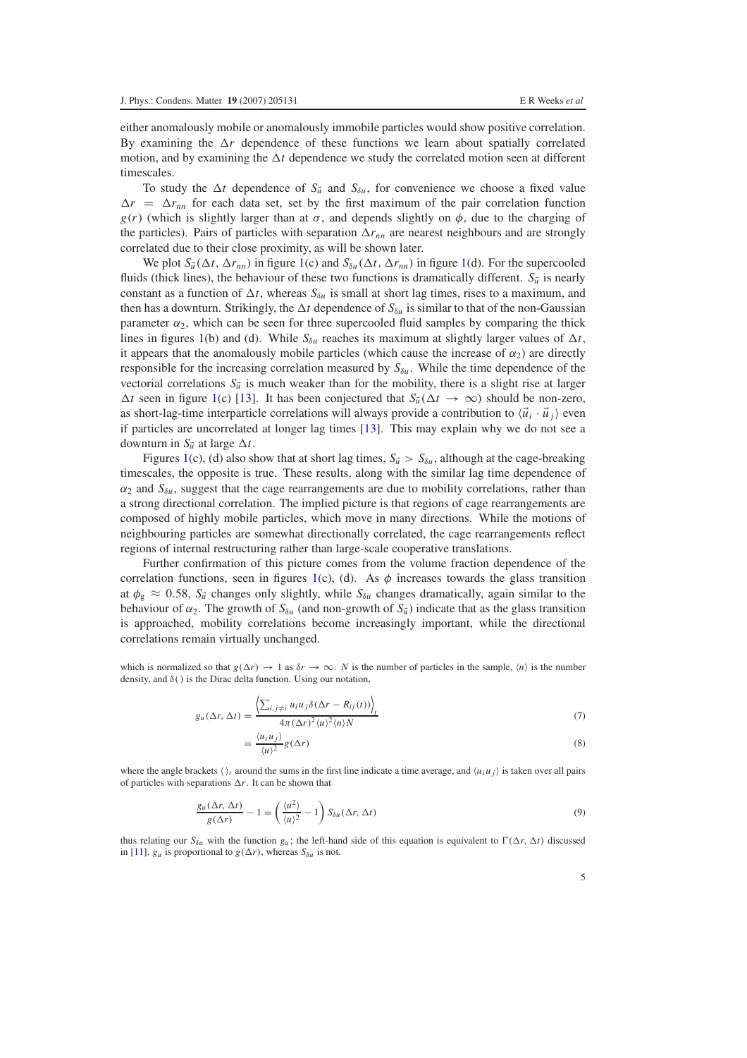either anomalously mobile or anomalously immobile particles would show positive correlation. By examining the  $\Delta r$  dependence of these functions we learn about spatially correlated motion, and by examining the  $\Delta t$  dependence we study the correlated motion seen at different timescales.

To study the  $\Delta t$  dependence of  $S_{\vec{u}}$  and  $S_{\delta u}$ , for convenience we choose a fixed value  $\Delta r = \Delta r_{nn}$  for each data set, set by the first maximum of the pair correlation function  $g(r)$  (which is slightly larger than at  $\sigma$ , and depends slightly on  $\phi$ , due to the charging of the particles). Pairs of particles with separation  $\Delta r_{nn}$  are nearest neighbours and are strongly correlated due to their close proximity, as will be shown later.

We plot  $S_{\vec{u}}(\Delta t, \Delta r_{nn})$  in figure [1\(](#page-2-0)c) and  $S_{\delta u}(\Delta t, \Delta r_{nn})$  in figure 1(d). For the supercooled fluids (thick lines), the behaviour of these two functions is dramatically different.  $S_{\vec{u}}$  is nearly constant as a function of  $\Delta t$ , whereas  $S_{\delta u}$  is small at short lag times, rises to a maximum, and then has a downturn. Strikingly, the  $\Delta t$  dependence of  $S_{\delta u}$  is similar to that of the non-Gaussian parameter  $\alpha_2$ , which can be seen for three supercooled fluid samples by comparing the thick lines in figures [1\(](#page-2-0)b) and (d). While  $S_{\delta u}$  reaches its maximum at slightly larger values of  $\Delta t$ , it appears that the anomalously mobile particles (which cause the increase of  $\alpha_2$ ) are directly responsible for the increasing correlation measured by  $S_{\delta u}$ . While the time dependence of the vectorial correlations  $S_{\vec{u}}$  is much weaker than for the mobility, there is a slight rise at larger  $\Delta t$  seen in figure [1\(](#page-2-0)c) [\[13\]](#page-10-8). It has been conjectured that  $S_{\vec{u}}(\Delta t \rightarrow \infty)$  should be non-zero, as short-lag-time interparticle correlations will always provide a contribution to  $\langle \vec{u}_i \cdot \vec{u}_j \rangle$  even if particles are uncorrelated at longer lag times [\[13\]](#page-10-8). This may explain why we do not see a downturn in  $S_{\vec{u}}$  at large  $\Delta t$ .

Figures [1\(](#page-2-0)c), (d) also show that at short lag times,  $S_{\vec{u}} > S_{\delta u}$ , although at the cage-breaking timescales, the opposite is true. These results, along with the similar lag time dependence of  $\alpha_2$  and  $S_{\delta u}$ , suggest that the cage rearrangements are due to mobility correlations, rather than a strong directional correlation. The implied picture is that regions of cage rearrangements are composed of highly mobile particles, which move in many directions. While the motions of neighbouring particles are somewhat directionally correlated, the cage rearrangements reflect regions of internal restructuring rather than large-scale cooperative translations.

Further confirmation of this picture comes from the volume fraction dependence of the correlation functions, seen in figures [1\(](#page-2-0)c), (d). As  $\phi$  increases towards the glass transition at  $\phi_{g} \approx 0.58$ ,  $S_{\vec{u}}$  changes only slightly, while  $S_{\delta u}$  changes dramatically, again similar to the behaviour of  $\alpha_2$ . The growth of  $S_{\delta u}$  (and non-growth of  $S_{\tilde{u}}$ ) indicate that as the glass transition is approached, mobility correlations become increasingly important, while the directional correlations remain virtually unchanged.

which is normalized so that  $g(\Delta r) \rightarrow 1$  as  $\delta r \rightarrow \infty$ . *N* is the number of particles in the sample,  $\langle n \rangle$  is the number density, and  $\delta$  () is the Dirac delta function. Using our notation,

$$
g_u(\Delta r, \Delta t) = \frac{\left\langle \sum_{i,j \neq i} u_i u_j \delta(\Delta r - R_{ij}(t)) \right\rangle_t}{4\pi (\Delta r)^2 \langle u \rangle^2 \langle n \rangle N}
$$
\n(7)

$$
=\frac{\langle u_i u_j \rangle}{\langle u \rangle^2} g(\Delta r) \tag{8}
$$

where the angle brackets  $\langle \rangle_t$  around the sums in the first line indicate a time average, and  $\langle u_i u_j \rangle$  is taken over all pairs of particles with separations  $\Delta r$ . It can be shown that

$$
\frac{g_u(\Delta r, \Delta t)}{g(\Delta r)} - 1 = \left(\frac{\langle u^2 \rangle}{\langle u \rangle^2} - 1\right) S_{\delta u}(\Delta r, \Delta t)
$$
\n(9)

thus relating our  $S_{\delta u}$  with the function  $g_u$ ; the left-hand side of this equation is equivalent to  $\Gamma(\Delta r, \Delta t)$  discussed in [\[11\]](#page-10-6).  $g_u$  is proportional to  $g(\Delta r)$ , whereas  $S_{\delta u}$  is not.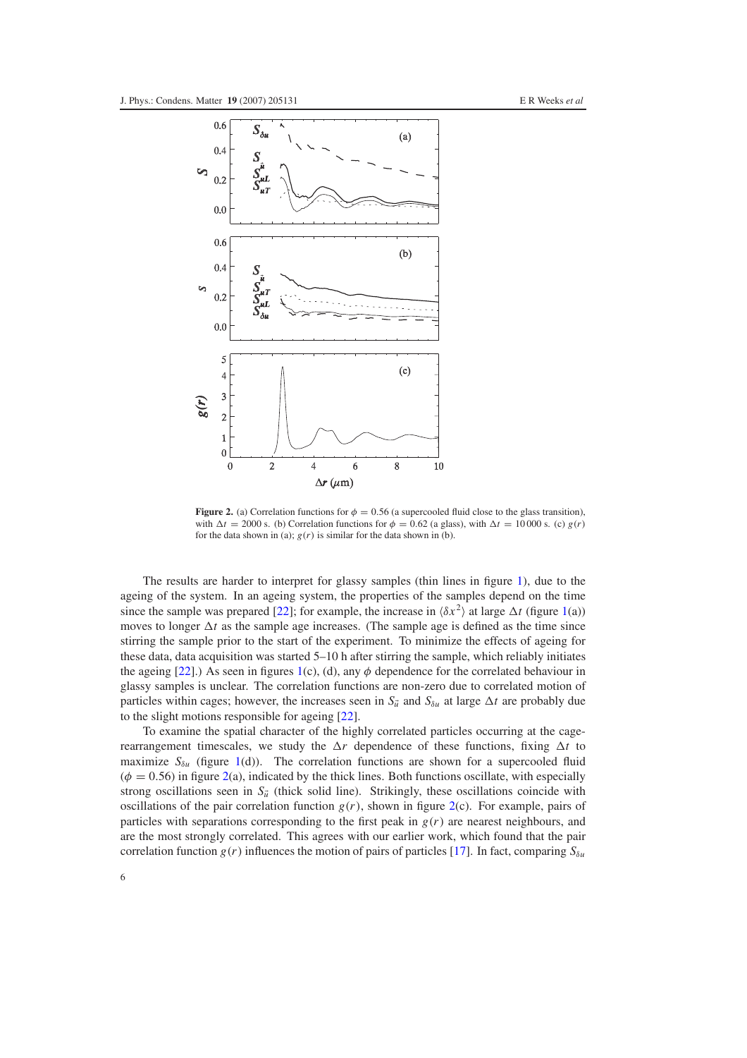<span id="page-5-0"></span>

**Figure 2.** (a) Correlation functions for  $\phi = 0.56$  (a supercooled fluid close to the glass transition), with  $\Delta t = 2000$  s. (b) Correlation functions for  $\phi = 0.62$  (a glass), with  $\Delta t = 10000$  s. (c)  $g(r)$ for the data shown in (a);  $g(r)$  is similar for the data shown in (b).

The results are harder to interpret for glassy samples (thin lines in figure [1\)](#page-2-0), due to the ageing of the system. In an ageing system, the properties of the samples depend on the time since the sample was prepared [\[22\]](#page-11-5); for example, the increase in  $\langle \delta x^2 \rangle$  at large  $\Delta t$  (figure [1\(](#page-2-0)a)) moves to longer  $\Delta t$  as the sample age increases. (The sample age is defined as the time since stirring the sample prior to the start of the experiment. To minimize the effects of ageing for these data, data acquisition was started 5–10 h after stirring the sample, which reliably initiates the ageing [\[22\]](#page-11-5).) As seen in figures [1\(](#page-2-0)c), (d), any  $\phi$  dependence for the correlated behaviour in glassy samples is unclear. The correlation functions are non-zero due to correlated motion of particles within cages; however, the increases seen in  $S_{\vec{u}}$  and  $S_{\delta u}$  at large  $\Delta t$  are probably due to the slight motions responsible for ageing [\[22\]](#page-11-5).

To examine the spatial character of the highly correlated particles occurring at the cagerearrangement timescales, we study the  $\Delta r$  dependence of these functions, fixing  $\Delta t$  to maximize  $S_{\delta u}$  (figure [1\(](#page-2-0)d)). The correlation functions are shown for a supercooled fluid  $(\phi = 0.56)$  in figure [2\(](#page-5-0)a), indicated by the thick lines. Both functions oscillate, with especially strong oscillations seen in  $S_{\vec{u}}$  (thick solid line). Strikingly, these oscillations coincide with oscillations of the pair correlation function  $g(r)$ , shown in figure  $2(c)$  $2(c)$ . For example, pairs of particles with separations corresponding to the first peak in  $g(r)$  are nearest neighbours, and are the most strongly correlated. This agrees with our earlier work, which found that the pair correlation function  $g(r)$  influences the motion of pairs of particles [\[17\]](#page-11-0). In fact, comparing  $S_{\delta u}$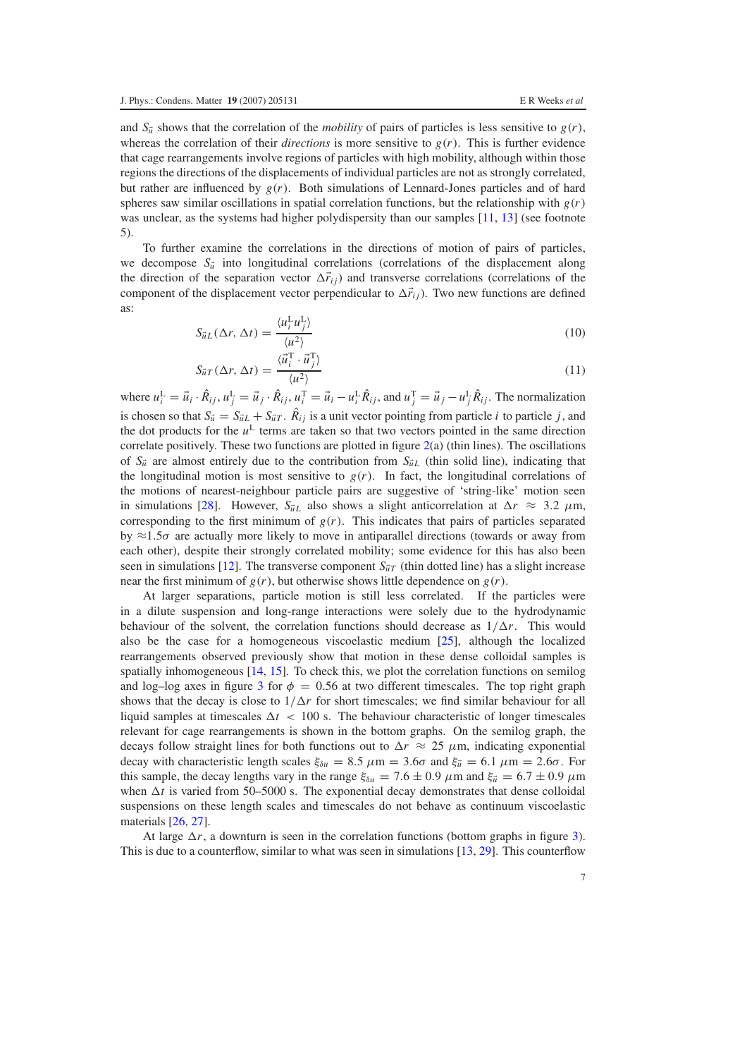and  $S_{\vec{u}}$  shows that the correlation of the *mobility* of pairs of particles is less sensitive to  $g(r)$ , whereas the correlation of their *directions* is more sensitive to  $g(r)$ . This is further evidence that cage rearrangements involve regions of particles with high mobility, although within those regions the directions of the displacements of individual particles are not as strongly correlated, but rather are influenced by  $g(r)$ . Both simulations of Lennard-Jones particles and of hard spheres saw similar oscillations in spatial correlation functions, but the relationship with  $g(r)$ was unclear, as the systems had higher polydispersity than our samples  $[11, 13]$  $[11, 13]$  $[11, 13]$  (see footnote 5).

To further examine the correlations in the directions of motion of pairs of particles, we decompose  $S_{\vec{u}}$  into longitudinal correlations (correlations of the displacement along the direction of the separation vector  $\Delta \vec{r}_{ij}$ ) and transverse correlations (correlations of the component of the displacement vector perpendicular to  $\Delta \vec{r}_{ij}$ ). Two new functions are defined as:

$$
S_{\vec{u}L}(\Delta r, \Delta t) = \frac{\langle u_i^{\mathrm{L}} u_j^{\mathrm{L}} \rangle}{\langle u^2 \rangle} \tag{10}
$$

$$
S_{\vec{u}T}(\Delta r, \Delta t) = \frac{\langle \vec{u}_i^T \cdot \vec{u}_j^T \rangle}{\langle u^2 \rangle} \tag{11}
$$

where  $u_i^L = \vec{u}_i \cdot \hat{R}_{ij}$ ,  $u_j^L = \vec{u}_j \cdot \hat{R}_{ij}$ ,  $u_i^T = \vec{u}_i - u_i^L \hat{R}_{ij}$ , and  $u_j^T = \vec{u}_j - u_j^L \hat{R}_{ij}$ . The normalization is chosen so that  $S_{\vec{u}} = S_{\vec{u}L} + S_{\vec{u}T}$ .  $\hat{R}_{ij}$  is a unit vector pointing from particle *i* to particle *j*, and the dot products for the  $u^L$  terms are taken so that two vectors pointed in the same direction correlate positively. These two functions are plotted in figure [2\(](#page-5-0)a) (thin lines). The oscillations of  $S_{\vec{u}}$  are almost entirely due to the contribution from  $S_{\vec{u}}$  (thin solid line), indicating that the longitudinal motion is most sensitive to  $g(r)$ . In fact, the longitudinal correlations of the motions of nearest-neighbour particle pairs are suggestive of 'string-like' motion seen in simulations [\[28\]](#page-11-10). However,  $S_{\vec{u}L}$  also shows a slight anticorrelation at  $\Delta r \approx 3.2 \mu$ m, corresponding to the first minimum of  $g(r)$ . This indicates that pairs of particles separated by  $\approx$ 1.5 $\sigma$  are actually more likely to move in antiparallel directions (towards or away from each other), despite their strongly correlated mobility; some evidence for this has also been seen in simulations [\[12\]](#page-10-7). The transverse component  $S_{\vec{u}T}$  (thin dotted line) has a slight increase near the first minimum of  $g(r)$ , but otherwise shows little dependence on  $g(r)$ .

At larger separations, particle motion is still less correlated. If the particles were in a dilute suspension and long-range interactions were solely due to the hydrodynamic behaviour of the solvent, the correlation functions should decrease as  $1/\Delta r$ . This would also be the case for a homogeneous viscoelastic medium [\[25\]](#page-11-9), although the localized rearrangements observed previously show that motion in these dense colloidal samples is spatially inhomogeneous [\[14,](#page-10-9) [15\]](#page-10-10). To check this, we plot the correlation functions on semilog and log–log axes in figure [3](#page-7-0) for  $\phi = 0.56$  at two different timescales. The top right graph shows that the decay is close to  $1/\Delta r$  for short timescales; we find similar behaviour for all liquid samples at timescales  $\Delta t$  < 100 s. The behaviour characteristic of longer timescales relevant for cage rearrangements is shown in the bottom graphs. On the semilog graph, the decays follow straight lines for both functions out to  $\Delta r \approx 25 \mu$ m, indicating exponential decay with characteristic length scales  $\xi_{\delta u} = 8.5 \ \mu \text{m} = 3.6\sigma$  and  $\xi_{\vec{u}} = 6.1 \ \mu \text{m} = 2.6\sigma$ . For this sample, the decay lengths vary in the range  $\xi_{\delta u} = 7.6 \pm 0.9$   $\mu$ m and  $\xi_{\vec{u}} = 6.7 \pm 0.9$   $\mu$ m when  $\Delta t$  is varied from 50–5000 s. The exponential decay demonstrates that dense colloidal suspensions on these length scales and timescales do not behave as continuum viscoelastic materials [\[26,](#page-11-7) [27\]](#page-11-8).

At large  $\Delta r$ , a downturn is seen in the correlation functions (bottom graphs in figure [3\)](#page-7-0). This is due to a counterflow, similar to what was seen in simulations [\[13,](#page-10-8) [29\]](#page-11-11). This counterflow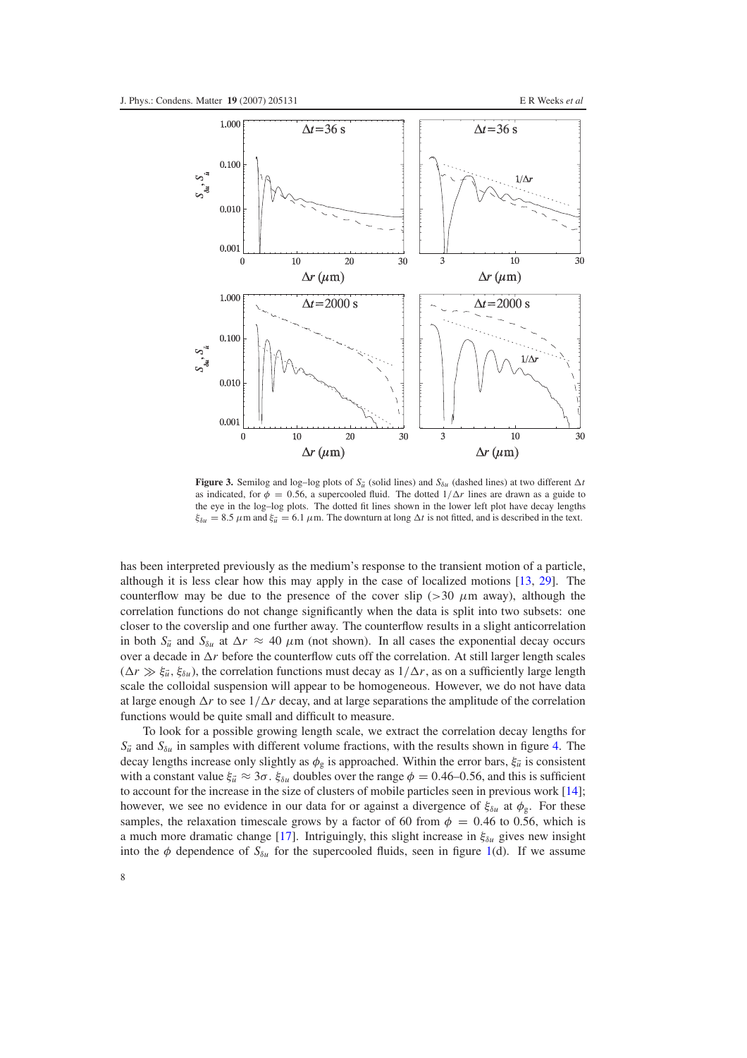<span id="page-7-0"></span>

**Figure 3.** Semilog and log–log plots of  $S_{\vec{u}}$  (solid lines) and  $S_{\delta u}$  (dashed lines) at two different  $\Delta t$ as indicated, for  $\phi = 0.56$ , a supercooled fluid. The dotted  $1/\Delta r$  lines are drawn as a guide to the eye in the log–log plots. The dotted fit lines shown in the lower left plot have decay lengths  $\xi_{\delta u} = 8.5 \ \mu \text{m}$  and  $\xi_{\vec{u}} = 6.1 \ \mu \text{m}$ . The downturn at long  $\Delta t$  is not fitted, and is described in the text.

has been interpreted previously as the medium's response to the transient motion of a particle, although it is less clear how this may apply in the case of localized motions [\[13,](#page-10-8) [29\]](#page-11-11). The counterflow may be due to the presence of the cover slip ( $>$ 30  $\mu$ m away), although the correlation functions do not change significantly when the data is split into two subsets: one closer to the coverslip and one further away. The counterflow results in a slight anticorrelation in both  $S_{\vec{u}}$  and  $S_{\delta u}$  at  $\Delta r \approx 40 \mu m$  (not shown). In all cases the exponential decay occurs over a decade in  $\Delta r$  before the counterflow cuts off the correlation. At still larger length scales  $(\Delta r \gg \xi_{\tilde{u}}, \xi_{\delta u})$ , the correlation functions must decay as  $1/\Delta r$ , as on a sufficiently large length scale the colloidal suspension will appear to be homogeneous. However, we do not have data at large enough  $\Delta r$  to see  $1/\Delta r$  decay, and at large separations the amplitude of the correlation functions would be quite small and difficult to measure.

To look for a possible growing length scale, we extract the correlation decay lengths for  $S_{\vec{u}}$  and  $S_{\delta u}$  in samples with different volume fractions, with the results shown in figure [4.](#page-8-0) The decay lengths increase only slightly as  $\phi_{g}$  is approached. Within the error bars,  $\xi_{\vec{u}}$  is consistent with a constant value  $\xi_{\vec{u}} \approx 3\sigma$ .  $\xi_{\delta u}$  doubles over the range  $\phi = 0.46$ –0.56, and this is sufficient to account for the increase in the size of clusters of mobile particles seen in previous work [\[14\]](#page-10-9); however, we see no evidence in our data for or against a divergence of  $\xi_{\delta u}$  at  $\phi_{\delta}$ . For these samples, the relaxation timescale grows by a factor of 60 from  $\phi = 0.46$  to 0.56, which is a much more dramatic change [\[17\]](#page-11-0). Intriguingly, this slight increase in  $\xi_{\delta u}$  gives new insight into the  $\phi$  dependence of  $S_{\delta u}$  for the supercooled fluids, seen in figure [1\(](#page-2-0)d). If we assume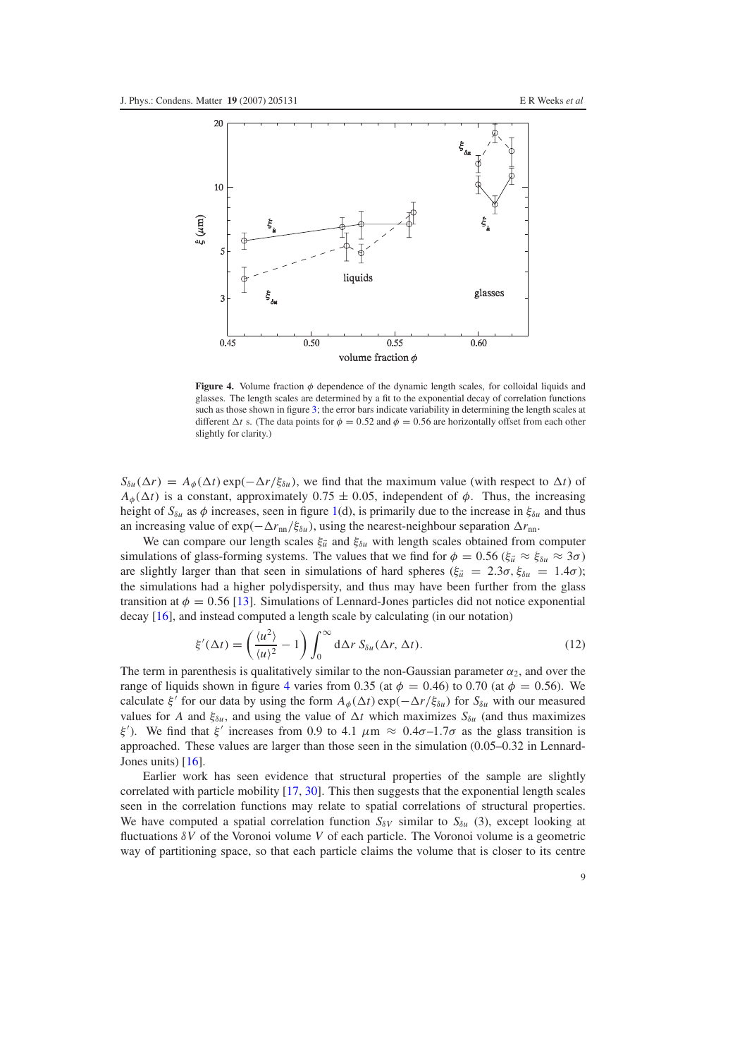<span id="page-8-0"></span>

**Figure 4.** Volume fraction  $\phi$  dependence of the dynamic length scales, for colloidal liquids and glasses. The length scales are determined by a fit to the exponential decay of correlation functions such as those shown in figure [3;](#page-7-0) the error bars indicate variability in determining the length scales at different  $\Delta t$  s. (The data points for  $\phi = 0.52$  and  $\phi = 0.56$  are horizontally offset from each other slightly for clarity.)

 $S_{\delta u}(\Delta r) = A_{\phi}(\Delta t) \exp(-\Delta r/\xi_{\delta u})$ , we find that the maximum value (with respect to  $\Delta t$ ) of  $A_{\phi}(\Delta t)$  is a constant, approximately 0.75  $\pm$  0.05, independent of  $\phi$ . Thus, the increasing height of  $S_{\delta u}$  as  $\phi$  increases, seen in figure [1\(](#page-2-0)d), is primarily due to the increase in  $\xi_{\delta u}$  and thus an increasing value of  $\exp(-\Delta r_{nn}/\xi_{\delta u})$ , using the nearest-neighbour separation  $\Delta r_{nn}$ .

We can compare our length scales  $\xi \vec{u}$  and  $\xi \delta u$  with length scales obtained from computer simulations of glass-forming systems. The values that we find for  $\phi = 0.56$  ( $\xi_{\vec{u}} \approx \xi_{\delta u} \approx 3\sigma$ ) are slightly larger than that seen in simulations of hard spheres ( $\xi_{\vec{u}} = 2.3\sigma$ ,  $\xi_{\delta u} = 1.4\sigma$ ); the simulations had a higher polydispersity, and thus may have been further from the glass transition at  $\phi = 0.56$  [\[13\]](#page-10-8). Simulations of Lennard-Jones particles did not notice exponential decay [\[16\]](#page-10-11), and instead computed a length scale by calculating (in our notation)

$$
\xi'(\Delta t) = \left(\frac{\langle u^2 \rangle}{\langle u \rangle^2} - 1\right) \int_0^\infty d\Delta r \, S_{\delta u}(\Delta r, \Delta t). \tag{12}
$$

The term in parenthesis is qualitatively similar to the non-Gaussian parameter  $\alpha_2$ , and over the range of liquids shown in figure [4](#page-8-0) varies from 0.35 (at  $\phi = 0.46$ ) to 0.70 (at  $\phi = 0.56$ ). We calculate  $\xi'$  for our data by using the form  $A_{\phi}(\Delta t)$  exp( $-\Delta r/\xi_{\delta u}$ ) for  $S_{\delta u}$  with our measured values for *A* and  $\xi_{\delta u}$ , and using the value of  $\Delta t$  which maximizes  $S_{\delta u}$  (and thus maximizes ξ'). We find that ξ' increases from 0.9 to 4.1  $\mu$ m  $\approx 0.4\sigma$ -1.7 $\sigma$  as the glass transition is approached. These values are larger than those seen in the simulation (0.05–0.32 in Lennard-Jones units) [\[16\]](#page-10-11).

Earlier work has seen evidence that structural properties of the sample are slightly correlated with particle mobility [\[17,](#page-11-0) [30\]](#page-11-12). This then suggests that the exponential length scales seen in the correlation functions may relate to spatial correlations of structural properties. We have computed a spatial correlation function  $S_{\delta V}$  similar to  $S_{\delta u}$  (3), except looking at fluctuations δ*V* of the Voronoi volume *V* of each particle. The Voronoi volume is a geometric way of partitioning space, so that each particle claims the volume that is closer to its centre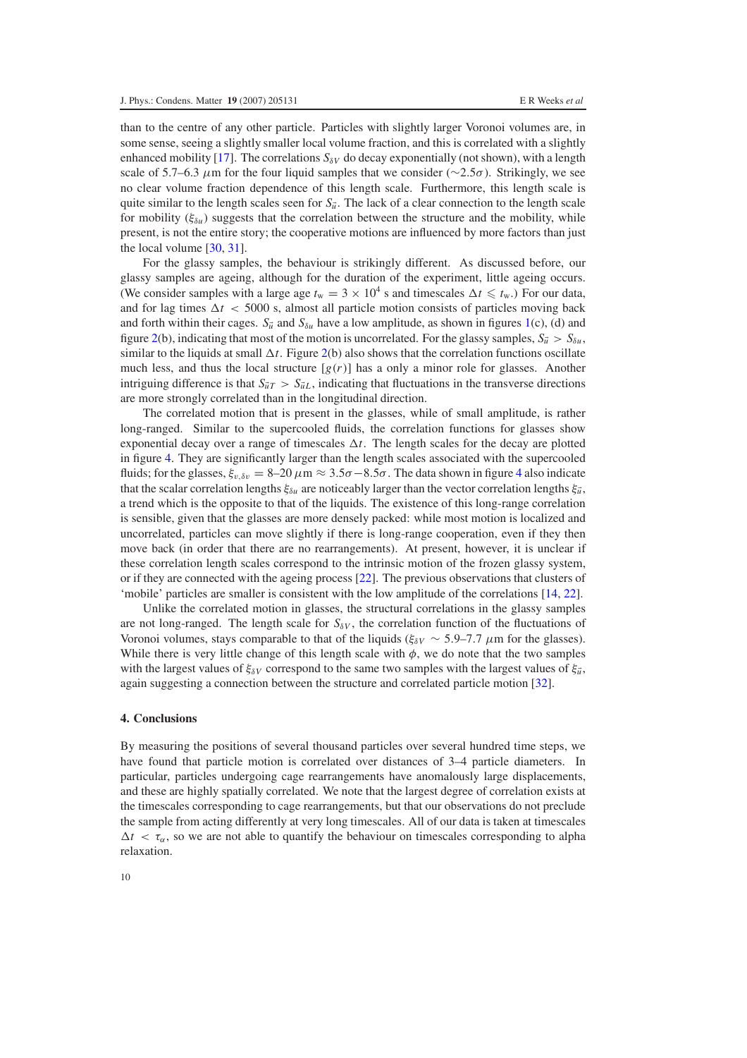than to the centre of any other particle. Particles with slightly larger Voronoi volumes are, in some sense, seeing a slightly smaller local volume fraction, and this is correlated with a slightly enhanced mobility [\[17\]](#page-11-0). The correlations  $S_{\delta V}$  do decay exponentially (not shown), with a length scale of 5.7–6.3  $\mu$ m for the four liquid samples that we consider ( $\sim$ 2.5 $\sigma$ ). Strikingly, we see no clear volume fraction dependence of this length scale. Furthermore, this length scale is quite similar to the length scales seen for  $S_{\vec{u}}$ . The lack of a clear connection to the length scale for mobility (ξδ*<sup>u</sup>* ) suggests that the correlation between the structure and the mobility, while present, is not the entire story; the cooperative motions are influenced by more factors than just the local volume [\[30,](#page-11-12) [31\]](#page-11-13).

For the glassy samples, the behaviour is strikingly different. As discussed before, our glassy samples are ageing, although for the duration of the experiment, little ageing occurs. (We consider samples with a large age  $t_w = 3 \times 10^4$  s and timescales  $\Delta t \leq t_w$ .) For our data, and for lag times  $\Delta t < 5000$  s, almost all particle motion consists of particles moving back and forth within their cages.  $S_{\vec{u}}$  and  $S_{\delta u}$  have a low amplitude, as shown in figures [1\(](#page-2-0)c), (d) and figure [2\(](#page-5-0)b), indicating that most of the motion is uncorrelated. For the glassy samples,  $S_{\vec{u}} > S_{\delta u}$ , similar to the liquids at small  $\Delta t$ . Figure [2\(](#page-5-0)b) also shows that the correlation functions oscillate much less, and thus the local structure  $[g(r)]$  has a only a minor role for glasses. Another intriguing difference is that  $S_{\vec{u}T} > S_{\vec{u}L}$ , indicating that fluctuations in the transverse directions are more strongly correlated than in the longitudinal direction.

The correlated motion that is present in the glasses, while of small amplitude, is rather long-ranged. Similar to the supercooled fluids, the correlation functions for glasses show exponential decay over a range of timescales  $\Delta t$ . The length scales for the decay are plotted in figure [4.](#page-8-0) They are significantly larger than the length scales associated with the supercooled fluids; for the glasses,  $\xi_{v,\delta v} = 8-20 \,\mu \text{m} \approx 3.5\sigma - 8.5\sigma$ . The data shown in figure [4](#page-8-0) also indicate that the scalar correlation lengths  $\xi_{\delta u}$  are noticeably larger than the vector correlation lengths  $\xi_{\vec{u}}$ , a trend which is the opposite to that of the liquids. The existence of this long-range correlation is sensible, given that the glasses are more densely packed: while most motion is localized and uncorrelated, particles can move slightly if there is long-range cooperation, even if they then move back (in order that there are no rearrangements). At present, however, it is unclear if these correlation length scales correspond to the intrinsic motion of the frozen glassy system, or if they are connected with the ageing process [\[22\]](#page-11-5). The previous observations that clusters of 'mobile' particles are smaller is consistent with the low amplitude of the correlations [\[14,](#page-10-9) [22\]](#page-11-5).

Unlike the correlated motion in glasses, the structural correlations in the glassy samples are not long-ranged. The length scale for  $S_{\delta V}$ , the correlation function of the fluctuations of Voronoi volumes, stays comparable to that of the liquids ( $\xi_{\delta V} \sim 5.9$ –7.7  $\mu$ m for the glasses). While there is very little change of this length scale with  $\phi$ , we do note that the two samples with the largest values of  $\xi_{\delta V}$  correspond to the same two samples with the largest values of  $\xi_{\vec{u}}$ , again suggesting a connection between the structure and correlated particle motion [\[32\]](#page-11-14).

#### **4. Conclusions**

By measuring the positions of several thousand particles over several hundred time steps, we have found that particle motion is correlated over distances of 3–4 particle diameters. In particular, particles undergoing cage rearrangements have anomalously large displacements, and these are highly spatially correlated. We note that the largest degree of correlation exists at the timescales corresponding to cage rearrangements, but that our observations do not preclude the sample from acting differently at very long timescales. All of our data is taken at timescales  $\Delta t < \tau_{\alpha}$ , so we are not able to quantify the behaviour on timescales corresponding to alpha relaxation.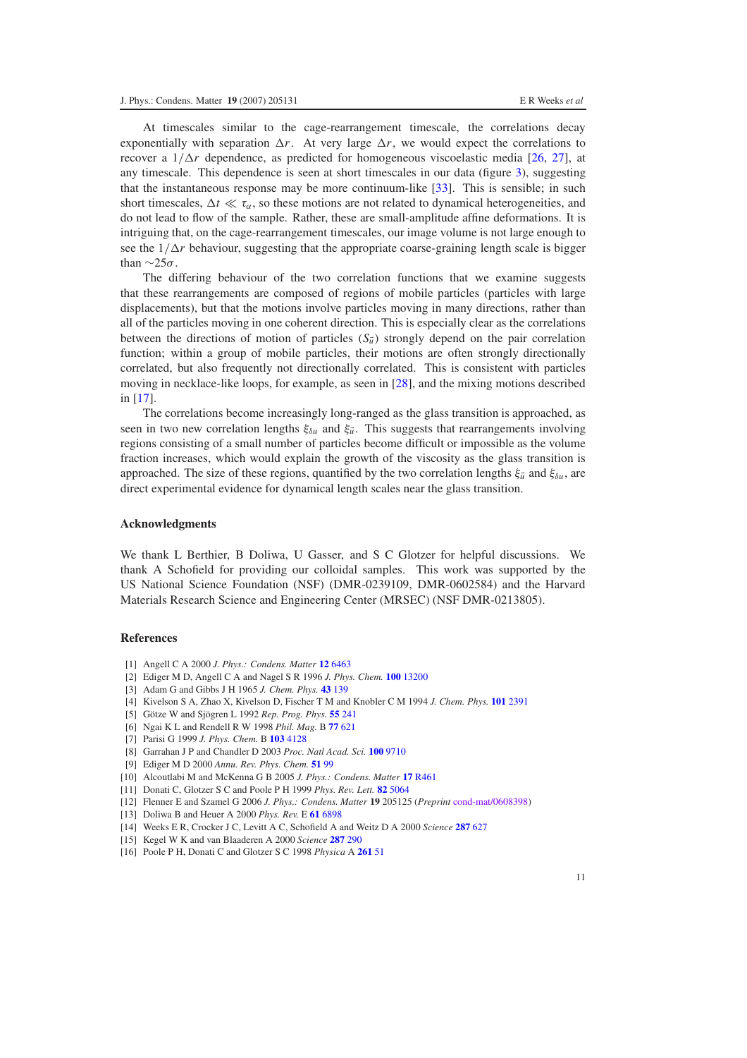At timescales similar to the cage-rearrangement timescale, the correlations decay exponentially with separation  $\Delta r$ . At very large  $\Delta r$ , we would expect the correlations to recover a  $1/\Delta r$  dependence, as predicted for homogeneous viscoelastic media [\[26,](#page-11-7) [27\]](#page-11-8), at any timescale. This dependence is seen at short timescales in our data (figure [3\)](#page-7-0), suggesting that the instantaneous response may be more continuum-like [\[33\]](#page-11-15). This is sensible; in such short timescales,  $\Delta t \ll \tau_{\alpha}$ , so these motions are not related to dynamical heterogeneities, and do not lead to flow of the sample. Rather, these are small-amplitude affine deformations. It is intriguing that, on the cage-rearrangement timescales, our image volume is not large enough to see the  $1/\Delta r$  behaviour, suggesting that the appropriate coarse-graining length scale is bigger than  $\sim$ 25σ.

The differing behaviour of the two correlation functions that we examine suggests that these rearrangements are composed of regions of mobile particles (particles with large displacements), but that the motions involve particles moving in many directions, rather than all of the particles moving in one coherent direction. This is especially clear as the correlations between the directions of motion of particles  $(S_{\vec{u}})$  strongly depend on the pair correlation function; within a group of mobile particles, their motions are often strongly directionally correlated, but also frequently not directionally correlated. This is consistent with particles moving in necklace-like loops, for example, as seen in [\[28\]](#page-11-10), and the mixing motions described in [\[17\]](#page-11-0).

The correlations become increasingly long-ranged as the glass transition is approached, as seen in two new correlation lengths  $\xi_{\delta u}$  and  $\xi_{\vec{u}}$ . This suggests that rearrangements involving regions consisting of a small number of particles become difficult or impossible as the volume fraction increases, which would explain the growth of the viscosity as the glass transition is approached. The size of these regions, quantified by the two correlation lengths  $\xi_{\vec{u}}$  and  $\xi_{\delta u}$ , are direct experimental evidence for dynamical length scales near the glass transition.

#### **Acknowledgments**

<span id="page-10-1"></span><span id="page-10-0"></span>We thank L Berthier, B Doliwa, U Gasser, and S C Glotzer for helpful discussions. We thank A Schofield for providing our colloidal samples. This work was supported by the US National Science Foundation (NSF) (DMR-0239109, DMR-0602584) and the Harvard Materials Research Science and Engineering Center (MRSEC) (NSF DMR-0213805).

#### <span id="page-10-3"></span><span id="page-10-2"></span>**References**

- <span id="page-10-4"></span>[1] Angell C A 2000 *J. Phys.: Condens. Matter* **12** [6463](http://dx.doi.org/10.1088/0953-8984/12/29/318)
- [2] Ediger M D, Angell C A and Nagel S R 1996 *J. Phys. Chem.* **100** [13200](http://dx.doi.org/10.1021/jp953538d)
- <span id="page-10-5"></span>[3] Adam G and Gibbs J H 1965 *J. Chem. Phys.* **43** [139](http://dx.doi.org/10.1063/1.1696442)
- <span id="page-10-6"></span>[4] Kivelson S A, Zhao X, Kivelson D, Fischer T M and Knobler C M 1994 *J. Chem. Phys.* **101** [2391](http://dx.doi.org/10.1063/1.468414)
- <span id="page-10-7"></span>[5] Götze W and Sjögren L 1992 *Rep. Prog. Phys.* **55** [241](http://dx.doi.org/10.1088/0034-4885/55/3/001)
- <span id="page-10-8"></span>[6] Ngai K L and Rendell R W 1998 *Phil. Mag.* B **77** [621](http://dx.doi.org/10.1080/014186398259716)
- <span id="page-10-9"></span>[7] Parisi G 1999 *J. Phys. Chem.* B **103** [4128](http://dx.doi.org/10.1021/jp983967m)
- [8] Garrahan J P and Chandler D 2003 *Proc. Natl Acad. Sci.* **100** [9710](http://dx.doi.org/10.1073/pnas.1233719100)
- [9] Ediger M D 2000 *Annu. Rev. Phys. Chem.* **[51](http://dx.doi.org/10.1146/annurev.physchem.51.1.99)** 99
- <span id="page-10-11"></span><span id="page-10-10"></span>[10] Alcoutlabi M and McKenna G B 2005 *J. Phys.: Condens. Matter* **17** [R461](http://dx.doi.org/10.1088/0953-8984/17/15/R01)
- [11] Donati C, Glotzer S C and Poole P H 1999 *Phys. Rev. Lett.* **82** [5064](http://dx.doi.org/10.1103/PhysRevLett.82.5064)
- [12] Flenner E and Szamel G 2006 *J. Phys.: Condens. Matter* **19** 205125 (*Preprint* [cond-mat/0608398\)](http://arxiv.org/abs/cond-mat/0608398)
- [13] Doliwa B and Heuer A 2000 *Phys. Rev.* E **61** [6898](http://dx.doi.org/10.1103/PhysRevE.61.6898)
- [14] Weeks E R, Crocker J C, Levitt A C, Schofield A and Weitz D A 2000 *Science* **[287](http://dx.doi.org/10.1126/science.287.5453.627)** 627
- [15] Kegel W K and van Blaaderen A 2000 *Science* **[287](http://dx.doi.org/10.1126/science.287.5451.290)** 290
- [16] Poole P H, Donati C and Glotzer S C 1998 *Physica* A **[261](http://dx.doi.org/10.1016/S0378-4371(98)00376-8)** 51